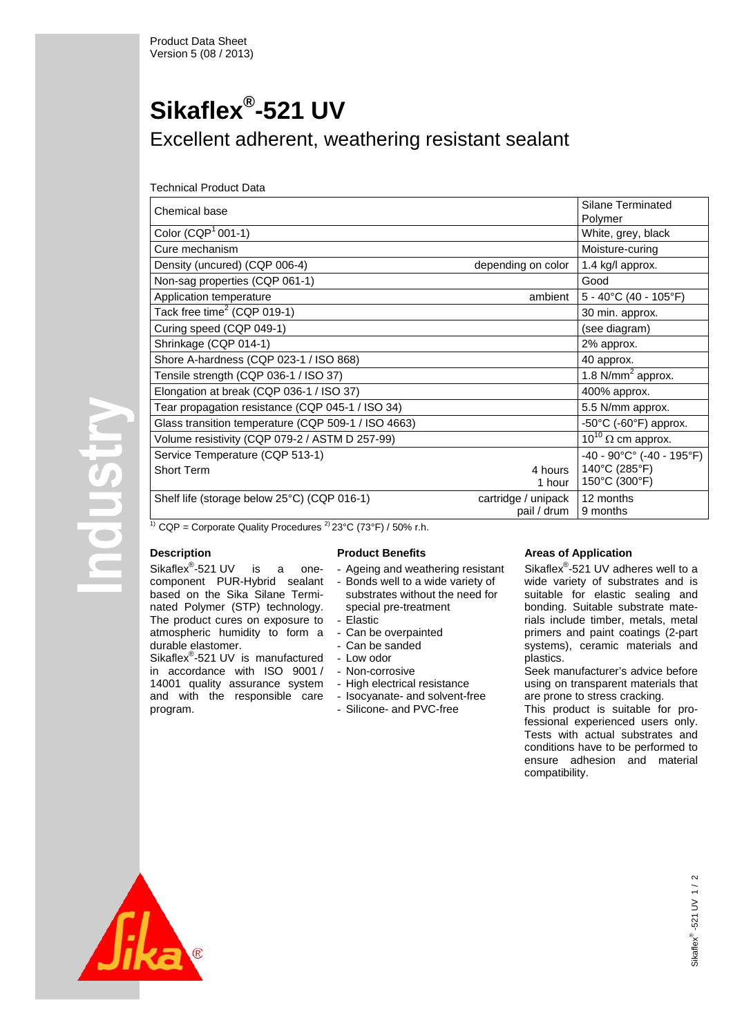# **Sikaflex®-521 UV** Excellent adherent, weathering resistant sealant

# Technical Product Data

| Chemical base                                       |                     | Silane Terminated<br>Polymer               |
|-----------------------------------------------------|---------------------|--------------------------------------------|
| Color $(CQP1 001-1)$                                |                     | White, grey, black                         |
| Cure mechanism                                      |                     | Moisture-curing                            |
| Density (uncured) (CQP 006-4)                       | depending on color  | 1.4 kg/l approx.                           |
| Non-sag properties (CQP 061-1)                      |                     | Good                                       |
| Application temperature                             | ambient             | $5 - 40^{\circ}$ C (40 - 105°F)            |
| Tack free time <sup>2</sup> (CQP 019-1)             |                     | 30 min. approx.                            |
| Curing speed (CQP 049-1)                            |                     | (see diagram)                              |
| Shrinkage (CQP 014-1)                               |                     | 2% approx.                                 |
| Shore A-hardness (CQP 023-1 / ISO 868)              |                     | 40 approx.                                 |
| Tensile strength (CQP 036-1 / ISO 37)               |                     | $1.8$ N/mm <sup>2</sup> approx.            |
| Elongation at break (CQP 036-1 / ISO 37)            |                     | 400% approx.                               |
| Tear propagation resistance (CQP 045-1 / ISO 34)    |                     | 5.5 N/mm approx.                           |
| Glass transition temperature (CQP 509-1 / ISO 4663) |                     | $-50^{\circ}$ C ( $-60^{\circ}$ F) approx. |
| Volume resistivity (CQP 079-2 / ASTM D 257-99)      |                     | $10^{10}$ $\Omega$ cm approx.              |
| Service Temperature (CQP 513-1)                     |                     | $-40 - 90^{\circ}C^{\circ}$ (-40 - 195°F)  |
| <b>Short Term</b>                                   | 4 hours             | 140°C (285°F)                              |
|                                                     | 1 hour              | 150°C (300°F)                              |
| Shelf life (storage below 25°C) (CQP 016-1)         | cartridge / unipack | 12 months                                  |
|                                                     | pail / drum         | 9 months                                   |

<sup>1)</sup> CQP = Corporate Quality Procedures <sup>2)</sup> 23°C (73°F) / 50% r.h.

# **Description**

durable elastomer.

program.

atmospheric humidity to form a

Sikaflex<sup>®</sup>-521 UV is manufactured in accordance with ISO 9001 / 14001 quality assurance system and with the responsible care

**Product Benefits**

- Sikaflex<sup>®</sup>-521 UV is a onecomponent PUR-Hybrid sealant based on the Sika Silane Terminated Polymer (STP) technology. The product cures on exposure to - Ageing and weathering resistant - Bonds well to a wide variety of substrates without the need for special pre-treatment - Elastic
	- Can be overpainted
	- Can be sanded
	- Low odor
	- Non-corrosive
	- High electrical resistance
	- Isocyanate- and solvent-free
	- Silicone- and PVC-free

# **Areas of Application**

Sikaflex<sup>®</sup>-521 UV adheres well to a wide variety of substrates and is suitable for elastic sealing and bonding. Suitable substrate materials include timber, metals, metal primers and paint coatings (2-part systems), ceramic materials and plastics.

Seek manufacturer's advice before using on transparent materials that are prone to stress cracking.

This product is suitable for professional experienced users only. Tests with actual substrates and conditions have to be performed to ensure adhesion and material compatibility.



**u**

**s**

**try**